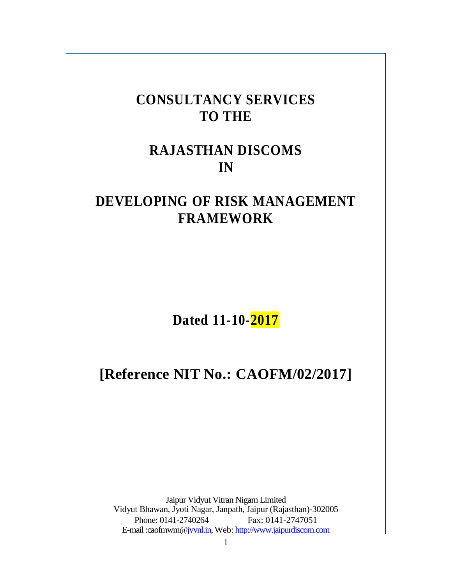# **CONSULTANCY SERVICES TO THE**

# **RAJASTHAN DISCOMS IN**

# **DEVELOPING OF RISK MANAGEMENT FRAMEWORK**

**Dated 11-10-2017**

# **[Reference NIT No.: CAOFM/02/2017]**

Jaipur Vidyut Vitran Nigam Limited Vidyut Bhawan, Jyoti Nagar, Janpath, Jaipur (Rajasthan)-302005 Phone: 0141-2740264 Fax: 0141-2747051 E-mail :caofmwm[@jvvnl.in,](http://jvvnl.in/) Web: [http://www.jaipurdiscom.com](http://www.jaipurdiscom.com/)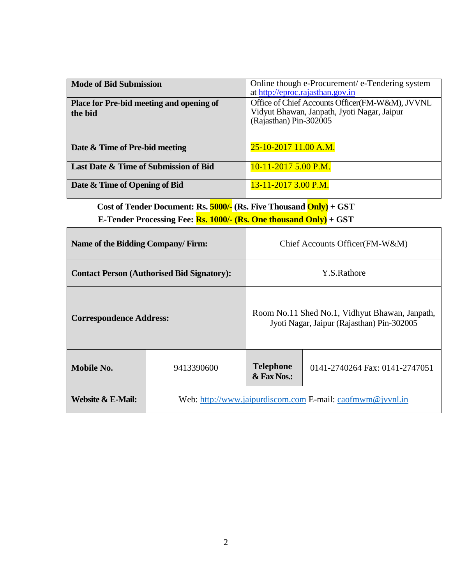| <b>Mode of Bid Submission</b>            | Online though e-Procurement/ e-Tendering system<br>at http://eproc.rajasthan.gov.in |
|------------------------------------------|-------------------------------------------------------------------------------------|
| Place for Pre-bid meeting and opening of | Office of Chief Accounts Officer(FM-W&M), JVVNL                                     |
|                                          | Vidyut Bhawan, Janpath, Jyoti Nagar, Jaipur                                         |
| the bid                                  |                                                                                     |
|                                          | (Rajasthan) Pin-302005                                                              |
|                                          |                                                                                     |
|                                          |                                                                                     |
| Date & Time of Pre-bid meeting           | 25-10-2017 11.00 A.M.                                                               |
|                                          |                                                                                     |
|                                          |                                                                                     |
| Last Date & Time of Submission of Bid    | $10-11-2017$ 5.00 P.M.                                                              |
|                                          |                                                                                     |
| Date & Time of Opening of Bid            | $13-11-2017$ 3.00 P.M.                                                              |
|                                          |                                                                                     |

**Cost of Tender Document: Rs. 5000/- (Rs. Five Thousand Only) + GST E-Tender Processing Fee: Rs. 1000/- (Rs. One thousand Only) + GST**

Г

| Name of the Bidding Company/Firm:                 |                                                           | Chief Accounts Officer(FM-W&M)                                                               |  |  |
|---------------------------------------------------|-----------------------------------------------------------|----------------------------------------------------------------------------------------------|--|--|
| <b>Contact Person (Authorised Bid Signatory):</b> |                                                           | Y.S.Rathore                                                                                  |  |  |
| <b>Correspondence Address:</b>                    |                                                           | Room No.11 Shed No.1, Vidhyut Bhawan, Janpath,<br>Jyoti Nagar, Jaipur (Rajasthan) Pin-302005 |  |  |
| Mobile No.<br>9413390600                          |                                                           | <b>Telephone</b><br>0141-2740264 Fax: 0141-2747051<br>& Fax Nos.:                            |  |  |
| Website & E-Mail:                                 | Web: http://www.jaipurdiscom.com E-mail: caofmwm@jvvnl.in |                                                                                              |  |  |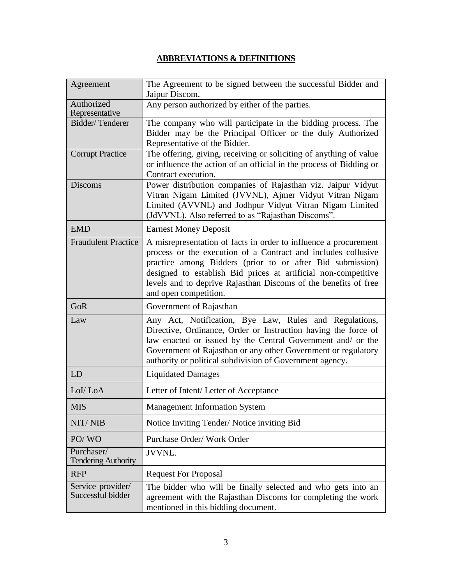## **ABBREVIATIONS & DEFINITIONS**

| Agreement                                | The Agreement to be signed between the successful Bidder and<br>Jaipur Discom.                                                                                                                                                                                                                                                                               |
|------------------------------------------|--------------------------------------------------------------------------------------------------------------------------------------------------------------------------------------------------------------------------------------------------------------------------------------------------------------------------------------------------------------|
| Authorized<br>Representative             | Any person authorized by either of the parties.                                                                                                                                                                                                                                                                                                              |
| Bidder/Tenderer                          | The company who will participate in the bidding process. The<br>Bidder may be the Principal Officer or the duly Authorized<br>Representative of the Bidder.                                                                                                                                                                                                  |
| <b>Corrupt Practice</b>                  | The offering, giving, receiving or soliciting of anything of value<br>or influence the action of an official in the process of Bidding or<br>Contract execution.                                                                                                                                                                                             |
| <b>Discoms</b>                           | Power distribution companies of Rajasthan viz. Jaipur Vidyut<br>Vitran Nigam Limited (JVVNL), Ajmer Vidyut Vitran Nigam<br>Limited (AVVNL) and Jodhpur Vidyut Vitran Nigam Limited<br>(JdVVNL). Also referred to as "Rajasthan Discoms".                                                                                                                     |
| <b>EMD</b>                               | <b>Earnest Money Deposit</b>                                                                                                                                                                                                                                                                                                                                 |
| <b>Fraudulent Practice</b>               | A misrepresentation of facts in order to influence a procurement<br>process or the execution of a Contract and includes collusive<br>practice among Bidders (prior to or after Bid submission)<br>designed to establish Bid prices at artificial non-competitive<br>levels and to deprive Rajasthan Discoms of the benefits of free<br>and open competition. |
| GoR                                      | Government of Rajasthan                                                                                                                                                                                                                                                                                                                                      |
| Law                                      | Any Act, Notification, Bye Law, Rules and Regulations,<br>Directive, Ordinance, Order or Instruction having the force of<br>law enacted or issued by the Central Government and/ or the<br>Government of Rajasthan or any other Government or regulatory<br>authority or political subdivision of Government agency.                                         |
| LD                                       | <b>Liquidated Damages</b>                                                                                                                                                                                                                                                                                                                                    |
| LoI/LoA                                  | Letter of Intent/Letter of Acceptance                                                                                                                                                                                                                                                                                                                        |
| <b>MIS</b>                               | <b>Management Information System</b>                                                                                                                                                                                                                                                                                                                         |
| NIT/NIB                                  | Notice Inviting Tender/Notice inviting Bid                                                                                                                                                                                                                                                                                                                   |
| PO/WO                                    | Purchase Order/ Work Order                                                                                                                                                                                                                                                                                                                                   |
| Purchaser/<br><b>Tendering Authority</b> | <b>JVVNL.</b>                                                                                                                                                                                                                                                                                                                                                |
| <b>RFP</b>                               | <b>Request For Proposal</b>                                                                                                                                                                                                                                                                                                                                  |
| Service provider/<br>Successful bidder   | The bidder who will be finally selected and who gets into an<br>agreement with the Rajasthan Discoms for completing the work<br>mentioned in this bidding document.                                                                                                                                                                                          |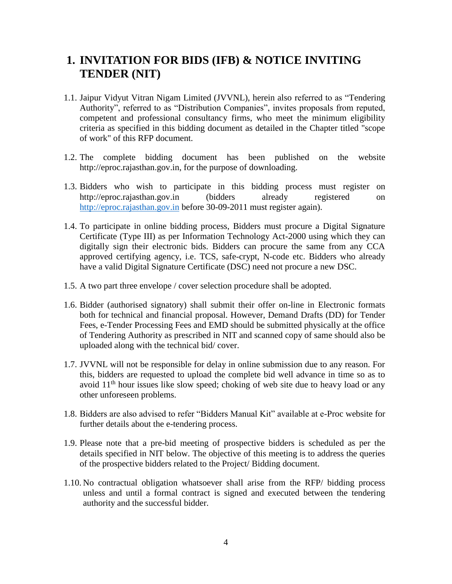## **1. INVITATION FOR BIDS (IFB) & NOTICE INVITING TENDER (NIT)**

- 1.1. Jaipur Vidyut Vitran Nigam Limited (JVVNL), herein also referred to as "Tendering Authority", referred to as "Distribution Companies", invites proposals from reputed, competent and professional consultancy firms, who meet the minimum eligibility criteria as specified in this bidding document as detailed in the Chapter titled "scope of work" of this RFP document.
- 1.2. The complete bidding document has been published on the website [http://eproc.rajasthan.gov.in,](http://eproc.rajasthan.gov.in/) for the purpose of downloading.
- 1.3. Bidders who wish to participate in this bidding process must register on [http://eproc.rajasthan.gov.in](http://eproc.rajasthan.gov.in/) (bidders already registered on [http://eproc.rajasthan.gov.in](http://eproc.rajasthan.gov.in/) before 30-09-2011 must register again).
- 1.4. To participate in online bidding process, Bidders must procure a Digital Signature Certificate (Type III) as per Information Technology Act-2000 using which they can digitally sign their electronic bids. Bidders can procure the same from any CCA approved certifying agency, i.e. TCS, safe-crypt, N-code etc. Bidders who already have a valid Digital Signature Certificate (DSC) need not procure a new DSC.
- 1.5. A two part three envelope / cover selection procedure shall be adopted.
- 1.6. Bidder (authorised signatory) shall submit their offer on-line in Electronic formats both for technical and financial proposal. However, Demand Drafts (DD) for Tender Fees, e-Tender Processing Fees and EMD should be submitted physically at the office of Tendering Authority as prescribed in NIT and scanned copy of same should also be uploaded along with the technical bid/ cover.
- 1.7. JVVNL will not be responsible for delay in online submission due to any reason. For this, bidders are requested to upload the complete bid well advance in time so as to avoid  $11<sup>th</sup>$  hour issues like slow speed; choking of web site due to heavy load or any other unforeseen problems.
- 1.8. Bidders are also advised to refer "Bidders Manual Kit" available at e-Proc website for further details about the e-tendering process.
- 1.9. Please note that a pre-bid meeting of prospective bidders is scheduled as per the details specified in NIT below. The objective of this meeting is to address the queries of the prospective bidders related to the Project/ Bidding document.
- 1.10. No contractual obligation whatsoever shall arise from the RFP/ bidding process unless and until a formal contract is signed and executed between the tendering authority and the successful bidder.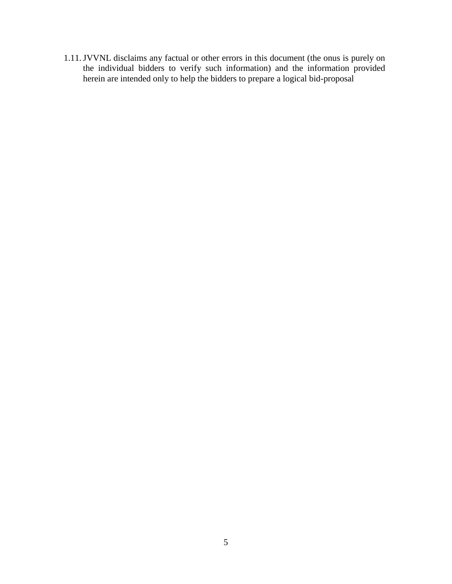1.11.JVVNL disclaims any factual or other errors in this document (the onus is purely on the individual bidders to verify such information) and the information provided herein are intended only to help the bidders to prepare a logical bid-proposal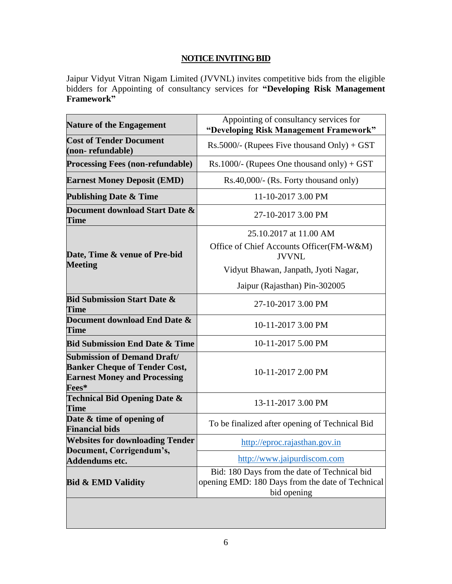## **NOTICE INVITING BID**

Jaipur Vidyut Vitran Nigam Limited (JVVNL) invites competitive bids from the eligible bidders for Appointing of consultancy services for **"Developing Risk Management Framework"**

| <b>Nature of the Engagement</b>                                                                                            | Appointing of consultancy services for<br>"Developing Risk Management Framework"                                |  |  |
|----------------------------------------------------------------------------------------------------------------------------|-----------------------------------------------------------------------------------------------------------------|--|--|
| <b>Cost of Tender Document</b><br>(non-refundable)                                                                         | $Rs.5000/$ - (Rupees Five thousand Only) + GST                                                                  |  |  |
| <b>Processing Fees (non-refundable)</b>                                                                                    | Rs.1000/- (Rupees One thousand only) + GST                                                                      |  |  |
| <b>Earnest Money Deposit (EMD)</b>                                                                                         | Rs.40,000/- (Rs. Forty thousand only)                                                                           |  |  |
| <b>Publishing Date &amp; Time</b>                                                                                          | 11-10-2017 3.00 PM                                                                                              |  |  |
| Document download Start Date &<br><b>Time</b>                                                                              | 27-10-2017 3.00 PM                                                                                              |  |  |
|                                                                                                                            | 25.10.2017 at 11.00 AM                                                                                          |  |  |
| Date, Time & venue of Pre-bid                                                                                              | Office of Chief Accounts Officer(FM-W&M)<br><b>JVVNL</b>                                                        |  |  |
| <b>Meeting</b>                                                                                                             | Vidyut Bhawan, Janpath, Jyoti Nagar,                                                                            |  |  |
|                                                                                                                            | Jaipur (Rajasthan) Pin-302005                                                                                   |  |  |
| <b>Bid Submission Start Date &amp;</b><br><b>Time</b>                                                                      | 27-10-2017 3.00 PM                                                                                              |  |  |
| Document download End Date &<br><b>Time</b>                                                                                | 10-11-2017 3.00 PM                                                                                              |  |  |
| <b>Bid Submission End Date &amp; Time</b>                                                                                  | 10-11-2017 5.00 PM                                                                                              |  |  |
| <b>Submission of Demand Draft/</b><br><b>Banker Cheque of Tender Cost,</b><br><b>Earnest Money and Processing</b><br>Fees* | 10-11-2017 2.00 PM                                                                                              |  |  |
| <b>Technical Bid Opening Date &amp;</b><br><b>Time</b>                                                                     | 13-11-2017 3.00 PM                                                                                              |  |  |
| Date & time of opening of<br><b>Financial bids</b>                                                                         | To be finalized after opening of Technical Bid                                                                  |  |  |
| <b>Websites for downloading Tender</b>                                                                                     | http://eproc.rajasthan.gov.in                                                                                   |  |  |
| Document, Corrigendum's,<br>Addendums etc.                                                                                 | http://www.jaipurdiscom.com                                                                                     |  |  |
| <b>Bid &amp; EMD Validity</b>                                                                                              | Bid: 180 Days from the date of Technical bid<br>opening EMD: 180 Days from the date of Technical<br>bid opening |  |  |
|                                                                                                                            |                                                                                                                 |  |  |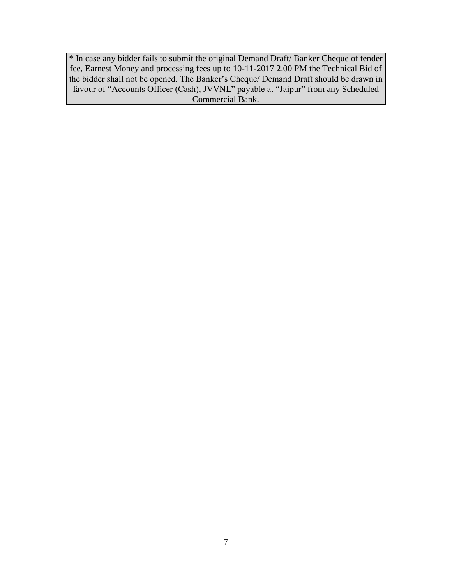\* In case any bidder fails to submit the original Demand Draft/ Banker Cheque of tender fee, Earnest Money and processing fees up to 10-11-2017 2.00 PM the Technical Bid of the bidder shall not be opened. The Banker's Cheque/ Demand Draft should be drawn in favour of "Accounts Officer (Cash), JVVNL" payable at "Jaipur" from any Scheduled Commercial Bank.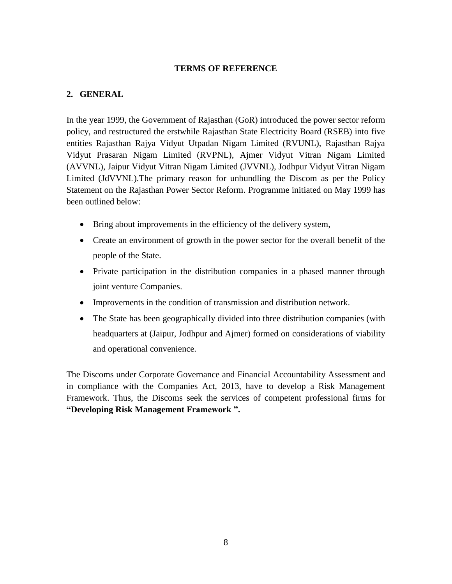#### **TERMS OF REFERENCE**

### **2. GENERAL**

In the year 1999, the Government of Rajasthan (GoR) introduced the power sector reform policy, and restructured the erstwhile Rajasthan State Electricity Board (RSEB) into five entities Rajasthan Rajya Vidyut Utpadan Nigam Limited (RVUNL), Rajasthan Rajya Vidyut Prasaran Nigam Limited (RVPNL), Ajmer Vidyut Vitran Nigam Limited (AVVNL), Jaipur Vidyut Vitran Nigam Limited (JVVNL), Jodhpur Vidyut Vitran Nigam Limited (JdVVNL).The primary reason for unbundling the Discom as per the Policy Statement on the Rajasthan Power Sector Reform. Programme initiated on May 1999 has been outlined below:

- Bring about improvements in the efficiency of the delivery system,
- Create an environment of growth in the power sector for the overall benefit of the people of the State.
- Private participation in the distribution companies in a phased manner through joint venture Companies.
- Improvements in the condition of transmission and distribution network.
- The State has been geographically divided into three distribution companies (with headquarters at (Jaipur, Jodhpur and Ajmer) formed on considerations of viability and operational convenience.

The Discoms under Corporate Governance and Financial Accountability Assessment and in compliance with the Companies Act, 2013, have to develop a Risk Management Framework. Thus, the Discoms seek the services of competent professional firms for **"Developing Risk Management Framework ".**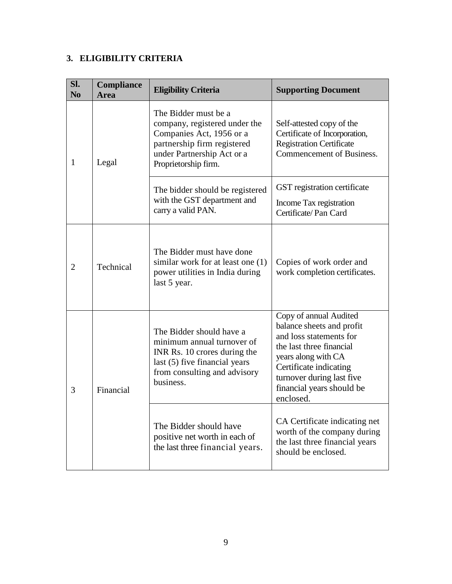## **3. ELIGIBILITY CRITERIA**

| Sl.<br>N <sub>o</sub> | Compliance<br><b>Area</b> | <b>Eligibility Criteria</b>                                                                                                                                            | <b>Supporting Document</b>                                                                                                                                                                                                         |
|-----------------------|---------------------------|------------------------------------------------------------------------------------------------------------------------------------------------------------------------|------------------------------------------------------------------------------------------------------------------------------------------------------------------------------------------------------------------------------------|
| $\mathbf{1}$          | Legal                     | The Bidder must be a<br>company, registered under the<br>Companies Act, 1956 or a<br>partnership firm registered<br>under Partnership Act or a<br>Proprietorship firm. | Self-attested copy of the<br>Certificate of Incorporation,<br><b>Registration Certificate</b><br>Commencement of Business.                                                                                                         |
|                       |                           | The bidder should be registered<br>with the GST department and<br>carry a valid PAN.                                                                                   | GST registration certificate<br>Income Tax registration<br>Certificate/Pan Card                                                                                                                                                    |
| $\overline{2}$        | Technical                 | The Bidder must have done<br>similar work for at least one (1)<br>power utilities in India during<br>last 5 year.                                                      | Copies of work order and<br>work completion certificates.                                                                                                                                                                          |
| 3                     | Financial                 | The Bidder should have a<br>minimum annual turnover of<br>INR Rs. 10 crores during the<br>last (5) five financial years<br>from consulting and advisory<br>business.   | Copy of annual Audited<br>balance sheets and profit<br>and loss statements for<br>the last three financial<br>years along with CA<br>Certificate indicating<br>turnover during last five<br>financial years should be<br>enclosed. |
|                       |                           | The Bidder should have<br>positive net worth in each of<br>the last three financial years.                                                                             | CA Certificate indicating net<br>worth of the company during<br>the last three financial years<br>should be enclosed.                                                                                                              |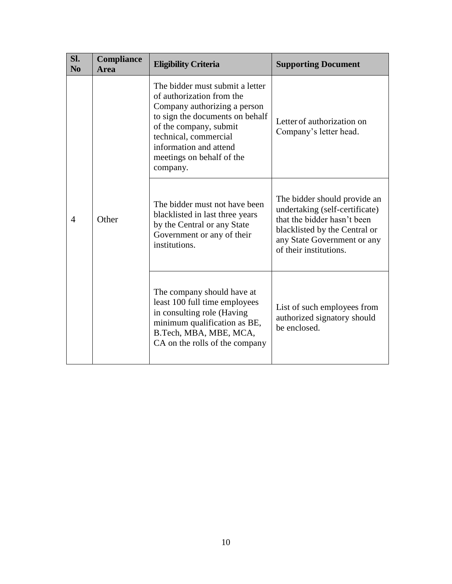| Sl.<br>N <sub>0</sub> | Compliance<br><b>Area</b> | <b>Eligibility Criteria</b>                                                                                                                                                                                                                           | <b>Supporting Document</b>                                                                                                                                                              |
|-----------------------|---------------------------|-------------------------------------------------------------------------------------------------------------------------------------------------------------------------------------------------------------------------------------------------------|-----------------------------------------------------------------------------------------------------------------------------------------------------------------------------------------|
|                       | Other                     | The bidder must submit a letter<br>of authorization from the<br>Company authorizing a person<br>to sign the documents on behalf<br>of the company, submit<br>technical, commercial<br>information and attend<br>meetings on behalf of the<br>company. | Letter of authorization on<br>Company's letter head.                                                                                                                                    |
| $\overline{4}$        |                           | The bidder must not have been<br>blacklisted in last three years<br>by the Central or any State<br>Government or any of their<br>institutions.                                                                                                        | The bidder should provide an<br>undertaking (self-certificate)<br>that the bidder hasn't been<br>blacklisted by the Central or<br>any State Government or any<br>of their institutions. |
|                       |                           | The company should have at<br>least 100 full time employees<br>in consulting role (Having<br>minimum qualification as BE,<br>B.Tech, MBA, MBE, MCA,<br>CA on the rolls of the company                                                                 | List of such employees from<br>authorized signatory should<br>be enclosed.                                                                                                              |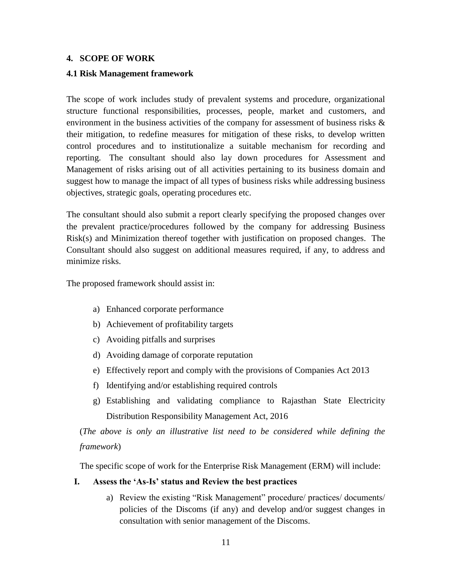#### **4. SCOPE OF WORK**

#### **4.1 Risk Management framework**

The scope of work includes study of prevalent systems and procedure, organizational structure functional responsibilities, processes, people, market and customers, and environment in the business activities of the company for assessment of business risks  $\&$ their mitigation, to redefine measures for mitigation of these risks, to develop written control procedures and to institutionalize a suitable mechanism for recording and reporting. The consultant should also lay down procedures for Assessment and Management of risks arising out of all activities pertaining to its business domain and suggest how to manage the impact of all types of business risks while addressing business objectives, strategic goals, operating procedures etc.

The consultant should also submit a report clearly specifying the proposed changes over the prevalent practice/procedures followed by the company for addressing Business Risk(s) and Minimization thereof together with justification on proposed changes. The Consultant should also suggest on additional measures required, if any, to address and minimize risks.

The proposed framework should assist in:

- a) Enhanced corporate performance
- b) Achievement of profitability targets
- c) Avoiding pitfalls and surprises
- d) Avoiding damage of corporate reputation
- e) Effectively report and comply with the provisions of Companies Act 2013
- f) Identifying and/or establishing required controls
- g) Establishing and validating compliance to Rajasthan State Electricity Distribution Responsibility Management Act, 2016

(*The above is only an illustrative list need to be considered while defining the framework*)

The specific scope of work for the Enterprise Risk Management (ERM) will include:

#### **I. Assess the 'As-Is' status and Review the best practices**

a) Review the existing "Risk Management" procedure/ practices/ documents/ policies of the Discoms (if any) and develop and/or suggest changes in consultation with senior management of the Discoms.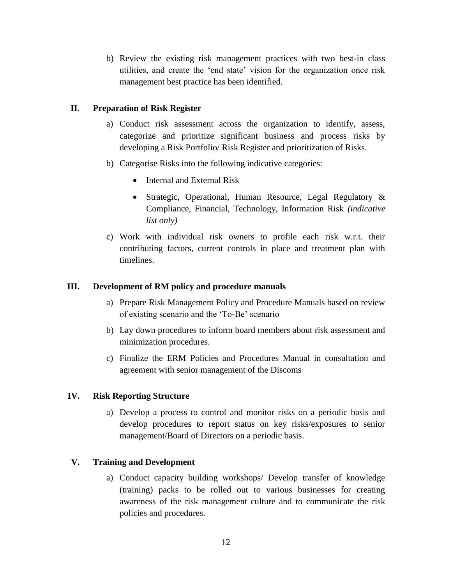b) Review the existing risk management practices with two best-in class utilities, and create the 'end state' vision for the organization once risk management best practice has been identified.

#### **II. Preparation of Risk Register**

- a) Conduct risk assessment across the organization to identify, assess, categorize and prioritize significant business and process risks by developing a Risk Portfolio/ Risk Register and prioritization of Risks.
- b) Categorise Risks into the following indicative categories:
	- Internal and External Risk
	- Strategic, Operational, Human Resource, Legal Regulatory & Compliance, Financial, Technology, Information Risk *(indicative list only)*
- c) Work with individual risk owners to profile each risk w.r.t. their contributing factors, current controls in place and treatment plan with timelines.

#### **III. Development of RM policy and procedure manuals**

- a) Prepare Risk Management Policy and Procedure Manuals based on review of existing scenario and the 'To-Be' scenario
- b) Lay down procedures to inform board members about risk assessment and minimization procedures.
- c) Finalize the ERM Policies and Procedures Manual in consultation and agreement with senior management of the Discoms

#### **IV. Risk Reporting Structure**

a) Develop a process to control and monitor risks on a periodic basis and develop procedures to report status on key risks/exposures to senior management/Board of Directors on a periodic basis.

#### **V. Training and Development**

a) Conduct capacity building workshops/ Develop transfer of knowledge (training) packs to be rolled out to various businesses for creating awareness of the risk management culture and to communicate the risk policies and procedures.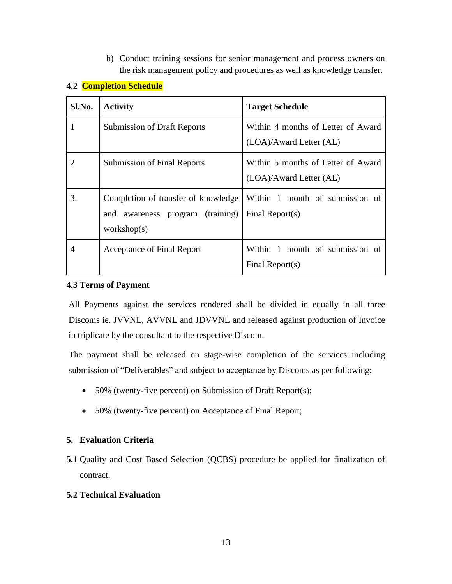b) Conduct training sessions for senior management and process owners on the risk management policy and procedures as well as knowledge transfer.

| Sl.No. | <b>Activity</b>                                                                        | <b>Target Schedule</b>                                        |  |
|--------|----------------------------------------------------------------------------------------|---------------------------------------------------------------|--|
|        | <b>Submission of Draft Reports</b>                                                     | Within 4 months of Letter of Award<br>(LOA)/Award Letter (AL) |  |
| 2      | <b>Submission of Final Reports</b>                                                     | Within 5 months of Letter of Award<br>(LOA)/Award Letter (AL) |  |
| 3.     | Completion of transfer of knowledge<br>and awareness program (training)<br>workshop(s) | Within 1 month of submission of<br>Final Report $(s)$         |  |
| 4      | Acceptance of Final Report                                                             | Within 1 month of submission of<br>Final Report $(s)$         |  |

### **4.2 Completion Schedule**

#### **4.3 Terms of Payment**

All Payments against the services rendered shall be divided in equally in all three Discoms ie. JVVNL, AVVNL and JDVVNL and released against production of Invoice in triplicate by the consultant to the respective Discom.

The payment shall be released on stage-wise completion of the services including submission of "Deliverables" and subject to acceptance by Discoms as per following:

- 50% (twenty-five percent) on Submission of Draft Report(s);
- 50% (twenty-five percent) on Acceptance of Final Report;

#### **5. Evaluation Criteria**

**5.1** Quality and Cost Based Selection (QCBS) procedure be applied for finalization of contract.

#### **5.2 Technical Evaluation**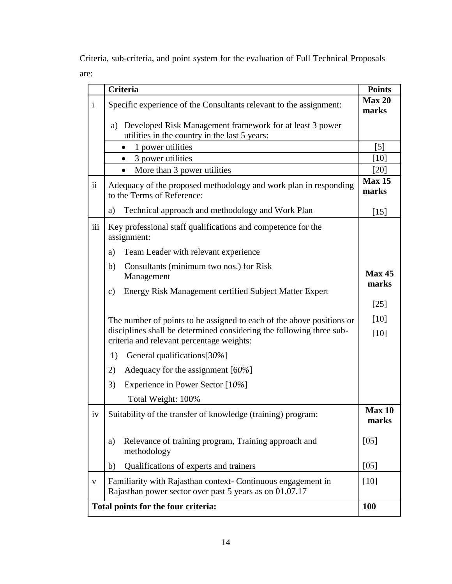Criteria, sub-criteria, and point system for the evaluation of Full Technical Proposals are:

|              | Criteria                                                                                                                | <b>Points</b>          |  |
|--------------|-------------------------------------------------------------------------------------------------------------------------|------------------------|--|
| $\mathbf{i}$ | Specific experience of the Consultants relevant to the assignment:                                                      | Max 20<br>marks        |  |
|              | Developed Risk Management framework for at least 3 power<br>a)<br>utilities in the country in the last 5 years:         |                        |  |
|              | 1 power utilities<br>$\bullet$                                                                                          | $[5]$                  |  |
|              | 3 power utilities                                                                                                       | $[10]$                 |  |
|              | More than 3 power utilities<br>$\bullet$                                                                                | $[20]$                 |  |
| ii           | Adequacy of the proposed methodology and work plan in responding<br>to the Terms of Reference:                          | Max 15<br>marks        |  |
|              | Technical approach and methodology and Work Plan<br>a)                                                                  | $[15]$                 |  |
| iii          | Key professional staff qualifications and competence for the<br>assignment:                                             |                        |  |
|              | Team Leader with relevant experience<br>a)                                                                              |                        |  |
|              | Consultants (minimum two nos.) for Risk<br>b)<br>Management                                                             | <b>Max 45</b><br>marks |  |
|              | Energy Risk Management certified Subject Matter Expert<br>$\mathbf{c})$                                                 |                        |  |
|              |                                                                                                                         | $[25]$                 |  |
|              | The number of points to be assigned to each of the above positions or                                                   | $[10]$                 |  |
|              | disciplines shall be determined considering the following three sub-<br>criteria and relevant percentage weights:       | [10]                   |  |
|              | General qualifications [30%]<br>1)                                                                                      |                        |  |
|              | 2)<br>Adequacy for the assignment $[60\%]$                                                                              |                        |  |
|              | Experience in Power Sector $[10\%]$<br>3)                                                                               |                        |  |
|              | Total Weight: 100%                                                                                                      |                        |  |
| 1 V          | Suitability of the transfer of knowledge (training) program:                                                            | <b>Max 10</b><br>marks |  |
|              | Relevance of training program, Training approach and<br>a)<br>methodology                                               | [05]                   |  |
|              | Qualifications of experts and trainers<br>b)                                                                            | [05]                   |  |
| $\mathbf{V}$ | Familiarity with Rajasthan context- Continuous engagement in<br>Rajasthan power sector over past 5 years as on 01.07.17 | $[10]$                 |  |
|              | Total points for the four criteria:                                                                                     | 100                    |  |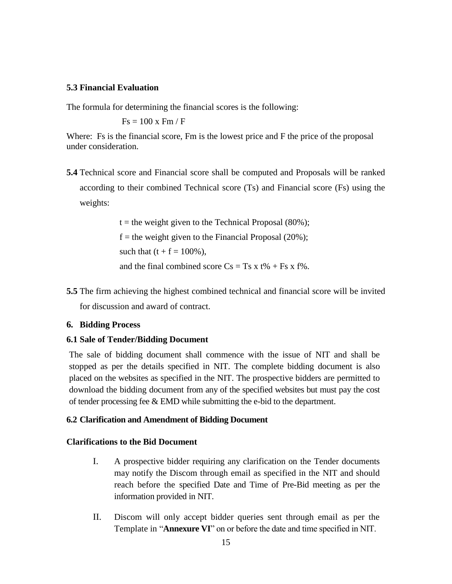#### **5.3 Financial Evaluation**

The formula for determining the financial scores is the following:

 $Fs = 100 x Fm / F$ 

Where: Fs is the financial score, Fm is the lowest price and F the price of the proposal under consideration.

**5.4** Technical score and Financial score shall be computed and Proposals will be ranked according to their combined Technical score (Ts) and Financial score (Fs) using the weights:

> $t =$  the weight given to the Technical Proposal (80%);  $f =$  the weight given to the Financial Proposal (20%); such that  $(t + f = 100\%)$ , and the final combined score  $Cs = Ts \times t\% + Fs \times t\%$ .

**5.5** The firm achieving the highest combined technical and financial score will be invited for discussion and award of contract.

#### **6. Bidding Process**

#### **6.1 Sale of Tender/Bidding Document**

The sale of bidding document shall commence with the issue of NIT and shall be stopped as per the details specified in NIT. The complete bidding document is also placed on the websites as specified in the NIT. The prospective bidders are permitted to download the bidding document from any of the specified websites but must pay the cost of tender processing fee & EMD while submitting the e-bid to the department.

#### **6.2 Clarification and Amendment of Bidding Document**

#### **Clarifications to the Bid Document**

- I. A prospective bidder requiring any clarification on the Tender documents may notify the Discom through email as specified in the NIT and should reach before the specified Date and Time of Pre-Bid meeting as per the information provided in NIT.
- II. Discom will only accept bidder queries sent through email as per the Template in "**Annexure VI**" on or before the date and time specified in NIT.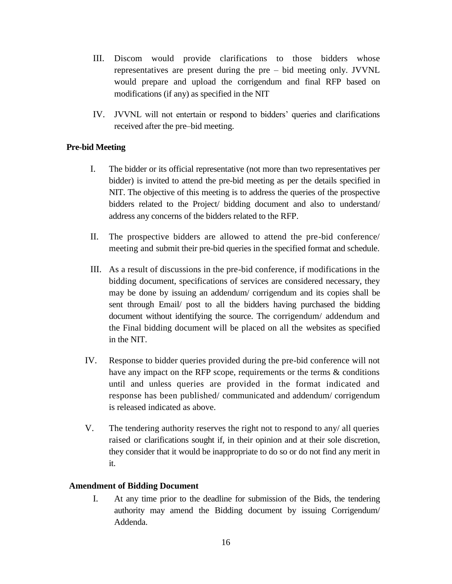- III. Discom would provide clarifications to those bidders whose representatives are present during the pre – bid meeting only. JVVNL would prepare and upload the corrigendum and final RFP based on modifications (if any) as specified in the NIT
- IV. JVVNL will not entertain or respond to bidders' queries and clarifications received after the pre–bid meeting.

#### **Pre-bid Meeting**

- I. The bidder or its official representative (not more than two representatives per bidder) is invited to attend the pre-bid meeting as per the details specified in NIT. The objective of this meeting is to address the queries of the prospective bidders related to the Project/ bidding document and also to understand/ address any concerns of the bidders related to the RFP.
- II. The prospective bidders are allowed to attend the pre-bid conference/ meeting and submit their pre-bid queries in the specified format and schedule.
- III. As a result of discussions in the pre-bid conference, if modifications in the bidding document, specifications of services are considered necessary, they may be done by issuing an addendum/ corrigendum and its copies shall be sent through Email/ post to all the bidders having purchased the bidding document without identifying the source. The corrigendum/ addendum and the Final bidding document will be placed on all the websites as specified in the NIT.
- IV. Response to bidder queries provided during the pre-bid conference will not have any impact on the RFP scope, requirements or the terms & conditions until and unless queries are provided in the format indicated and response has been published/ communicated and addendum/ corrigendum is released indicated as above.
- V. The tendering authority reserves the right not to respond to any/ all queries raised or clarifications sought if, in their opinion and at their sole discretion, they consider that it would be inappropriate to do so or do not find any merit in it.

#### **Amendment of Bidding Document**

I. At any time prior to the deadline for submission of the Bids, the tendering authority may amend the Bidding document by issuing Corrigendum/ Addenda.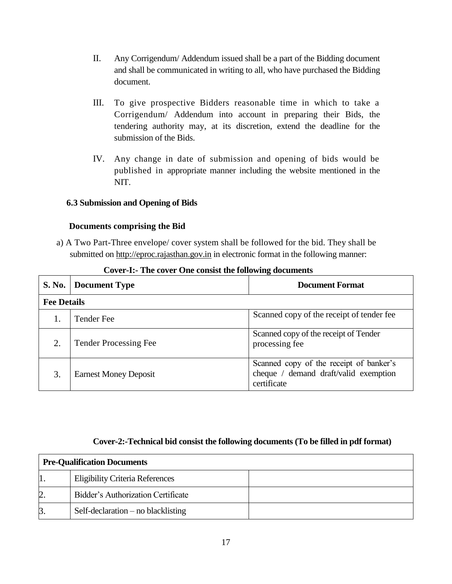- II. Any Corrigendum/ Addendum issued shall be a part of the Bidding document and shall be communicated in writing to all, who have purchased the Bidding document.
- III. To give prospective Bidders reasonable time in which to take a Corrigendum/ Addendum into account in preparing their Bids, the tendering authority may, at its discretion, extend the deadline for the submission of the Bids.
- IV. Any change in date of submission and opening of bids would be published in appropriate manner including the website mentioned in the NIT.

#### **6.3 Submission and Opening of Bids**

#### **Documents comprising the Bid**

a) A Two Part-Three envelope/ cover system shall be followed for the bid. They shall be submitted on [http://eproc.rajasthan.gov.in](http://eproc.rajasthan.gov.in/) in electronic format in the following manner:

| <b>S. No.</b> | <b>Document Type</b>         | <b>Document Format</b>                                                                          |  |  |  |
|---------------|------------------------------|-------------------------------------------------------------------------------------------------|--|--|--|
|               | <b>Fee Details</b>           |                                                                                                 |  |  |  |
|               | <b>Tender Fee</b>            | Scanned copy of the receipt of tender fee                                                       |  |  |  |
| 2.            | <b>Tender Processing Fee</b> | Scanned copy of the receipt of Tender<br>processing fee                                         |  |  |  |
| 3.            | <b>Earnest Money Deposit</b> | Scanned copy of the receipt of banker's<br>cheque / demand draft/valid exemption<br>certificate |  |  |  |

#### **Cover-I:- The cover One consist the following documents**

#### **Cover-2:-Technical bid consist the following documents (To be filled in pdf format)**

| <b>Pre-Qualification Documents</b> |                                        |  |  |
|------------------------------------|----------------------------------------|--|--|
|                                    | <b>Eligibility Criteria References</b> |  |  |
| $\overline{2}$                     | Bidder's Authorization Certificate     |  |  |
| $\beta$                            | Self-declaration $-$ no blacklisting   |  |  |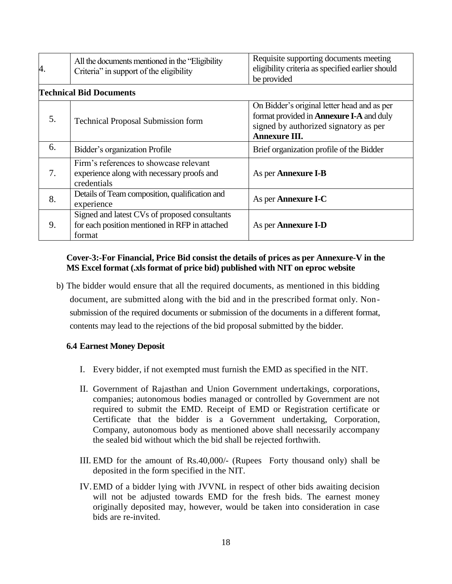| 4. | All the documents mentioned in the "Eligibility"<br>Criteria" in support of the eligibility               | Requisite supporting documents meeting<br>eligibility criteria as specified earlier should<br>be provided                                                |
|----|-----------------------------------------------------------------------------------------------------------|----------------------------------------------------------------------------------------------------------------------------------------------------------|
|    | <b>Technical Bid Documents</b>                                                                            |                                                                                                                                                          |
| 5. | <b>Technical Proposal Submission form</b>                                                                 | On Bidder's original letter head and as per<br>format provided in <b>Annexure I-A</b> and duly<br>signed by authorized signatory as per<br>Annexure III. |
| 6. | Bidder's organization Profile                                                                             | Brief organization profile of the Bidder                                                                                                                 |
| 7. | Firm's references to showcase relevant<br>experience along with necessary proofs and<br>credentials       | As per <b>Annexure I-B</b>                                                                                                                               |
| 8. | Details of Team composition, qualification and<br>experience                                              | As per <b>Annexure I-C</b>                                                                                                                               |
| 9. | Signed and latest CVs of proposed consultants<br>for each position mentioned in RFP in attached<br>format | As per <b>Annexure I-D</b>                                                                                                                               |

#### **Cover-3:-For Financial, Price Bid consist the details of prices as per Annexure-V in the MS Excel format (.xls format of price bid) published with NIT on eproc website**

b) The bidder would ensure that all the required documents, as mentioned in this bidding document, are submitted along with the bid and in the prescribed format only. Nonsubmission of the required documents or submission of the documents in a different format, contents may lead to the rejections of the bid proposal submitted by the bidder.

#### **6.4 Earnest Money Deposit**

- I. Every bidder, if not exempted must furnish the EMD as specified in the NIT.
- II. Government of Rajasthan and Union Government undertakings, corporations, companies; autonomous bodies managed or controlled by Government are not required to submit the EMD. Receipt of EMD or Registration certificate or Certificate that the bidder is a Government undertaking, Corporation, Company, autonomous body as mentioned above shall necessarily accompany the sealed bid without which the bid shall be rejected forthwith.
- III. EMD for the amount of Rs.40,000/- (Rupees Forty thousand only) shall be deposited in the form specified in the NIT.
- IV.EMD of a bidder lying with JVVNL in respect of other bids awaiting decision will not be adjusted towards EMD for the fresh bids. The earnest money originally deposited may, however, would be taken into consideration in case bids are re-invited.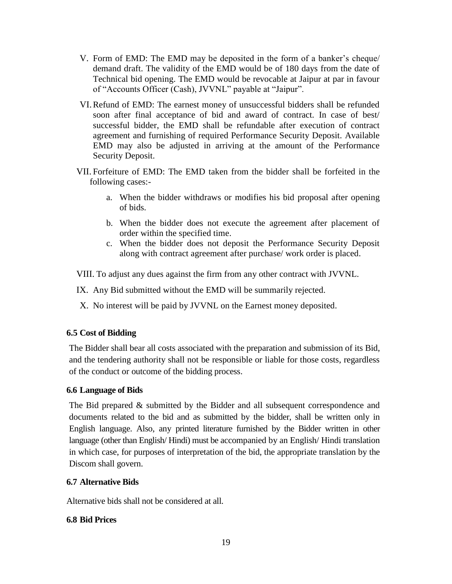- V. Form of EMD: The EMD may be deposited in the form of a banker's cheque/ demand draft. The validity of the EMD would be of 180 days from the date of Technical bid opening. The EMD would be revocable at Jaipur at par in favour of "Accounts Officer (Cash), JVVNL" payable at "Jaipur".
- VI.Refund of EMD: The earnest money of unsuccessful bidders shall be refunded soon after final acceptance of bid and award of contract. In case of best/ successful bidder, the EMD shall be refundable after execution of contract agreement and furnishing of required Performance Security Deposit. Available EMD may also be adjusted in arriving at the amount of the Performance Security Deposit.
- VII. Forfeiture of EMD: The EMD taken from the bidder shall be forfeited in the following cases:
	- a. When the bidder withdraws or modifies his bid proposal after opening of bids.
	- b. When the bidder does not execute the agreement after placement of order within the specified time.
	- c. When the bidder does not deposit the Performance Security Deposit along with contract agreement after purchase/ work order is placed.

VIII. To adjust any dues against the firm from any other contract with JVVNL.

IX. Any Bid submitted without the EMD will be summarily rejected.

X. No interest will be paid by JVVNL on the Earnest money deposited.

#### **6.5 Cost of Bidding**

The Bidder shall bear all costs associated with the preparation and submission of its Bid, and the tendering authority shall not be responsible or liable for those costs, regardless of the conduct or outcome of the bidding process.

#### **6.6 Language of Bids**

The Bid prepared & submitted by the Bidder and all subsequent correspondence and documents related to the bid and as submitted by the bidder, shall be written only in English language. Also, any printed literature furnished by the Bidder written in other language (other than English/ Hindi) must be accompanied by an English/ Hindi translation in which case, for purposes of interpretation of the bid, the appropriate translation by the Discom shall govern.

#### **6.7 Alternative Bids**

Alternative bids shall not be considered at all.

#### **6.8 Bid Prices**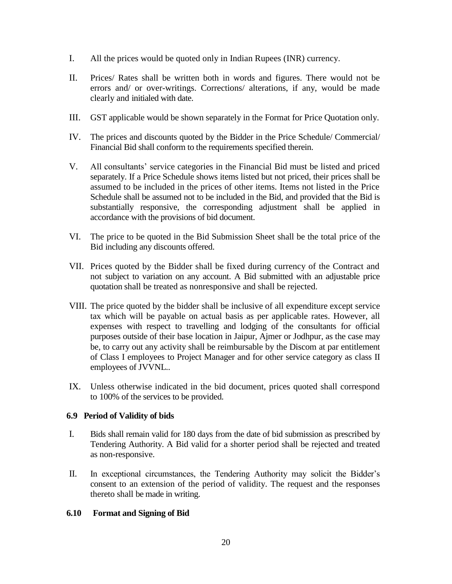- I. All the prices would be quoted only in Indian Rupees (INR) currency.
- II. Prices/ Rates shall be written both in words and figures. There would not be errors and/ or over-writings. Corrections/ alterations, if any, would be made clearly and initialed with date.
- III. GST applicable would be shown separately in the Format for Price Quotation only.
- IV. The prices and discounts quoted by the Bidder in the Price Schedule/ Commercial/ Financial Bid shall conform to the requirements specified therein.
- V. All consultants' service categories in the Financial Bid must be listed and priced separately. If a Price Schedule shows items listed but not priced, their prices shall be assumed to be included in the prices of other items. Items not listed in the Price Schedule shall be assumed not to be included in the Bid, and provided that the Bid is substantially responsive, the corresponding adjustment shall be applied in accordance with the provisions of bid document.
- VI. The price to be quoted in the Bid Submission Sheet shall be the total price of the Bid including any discounts offered.
- VII. Prices quoted by the Bidder shall be fixed during currency of the Contract and not subject to variation on any account. A Bid submitted with an adjustable price quotation shall be treated as nonresponsive and shall be rejected.
- VIII. The price quoted by the bidder shall be inclusive of all expenditure except service tax which will be payable on actual basis as per applicable rates. However, all expenses with respect to travelling and lodging of the consultants for official purposes outside of their base location in Jaipur, Ajmer or Jodhpur, as the case may be, to carry out any activity shall be reimbursable by the Discom at par entitlement of Class I employees to Project Manager and for other service category as class II employees of JVVNL..
- IX. Unless otherwise indicated in the bid document, prices quoted shall correspond to 100% of the services to be provided.

#### **6.9 Period of Validity of bids**

- I. Bids shall remain valid for 180 days from the date of bid submission as prescribed by Tendering Authority. A Bid valid for a shorter period shall be rejected and treated as non-responsive.
- II. In exceptional circumstances, the Tendering Authority may solicit the Bidder's consent to an extension of the period of validity. The request and the responses thereto shall be made in writing.

#### **6.10 Format and Signing of Bid**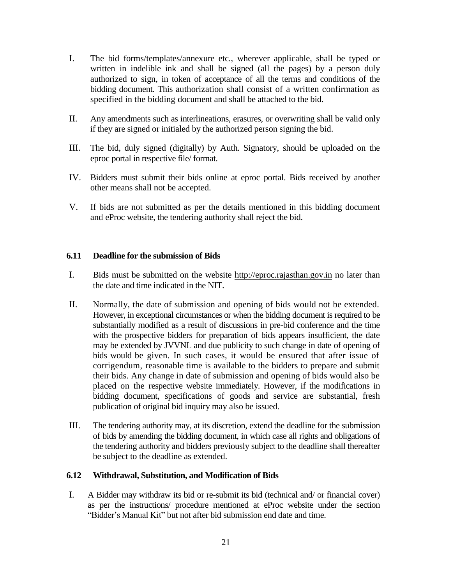- I. The bid forms/templates/annexure etc., wherever applicable, shall be typed or written in indelible ink and shall be signed (all the pages) by a person duly authorized to sign, in token of acceptance of all the terms and conditions of the bidding document. This authorization shall consist of a written confirmation as specified in the bidding document and shall be attached to the bid.
- II. Any amendments such as interlineations, erasures, or overwriting shall be valid only if they are signed or initialed by the authorized person signing the bid.
- III. The bid, duly signed (digitally) by Auth. Signatory, should be uploaded on the eproc portal in respective file/ format.
- IV. Bidders must submit their bids online at eproc portal. Bids received by another other means shall not be accepted.
- V. If bids are not submitted as per the details mentioned in this bidding document and eProc website, the tendering authority shall reject the bid.

#### **6.11 Deadline for the submission of Bids**

- I. Bids must be submitted on the website [http://eproc.rajasthan.gov.in](http://eproc.rajasthan.gov.in/) no later than the date and time indicated in the NIT.
- II. Normally, the date of submission and opening of bids would not be extended. However, in exceptional circumstances or when the bidding document is required to be substantially modified as a result of discussions in pre-bid conference and the time with the prospective bidders for preparation of bids appears insufficient, the date may be extended by JVVNL and due publicity to such change in date of opening of bids would be given. In such cases, it would be ensured that after issue of corrigendum, reasonable time is available to the bidders to prepare and submit their bids. Any change in date of submission and opening of bids would also be placed on the respective website immediately. However, if the modifications in bidding document, specifications of goods and service are substantial, fresh publication of original bid inquiry may also be issued.
- III. The tendering authority may, at its discretion, extend the deadline for the submission of bids by amending the bidding document, in which case all rights and obligations of the tendering authority and bidders previously subject to the deadline shall thereafter be subject to the deadline as extended.

#### **6.12 Withdrawal, Substitution, and Modification of Bids**

I. A Bidder may withdraw its bid or re-submit its bid (technical and/ or financial cover) as per the instructions/ procedure mentioned at eProc website under the section "Bidder's Manual Kit" but not after bid submission end date and time.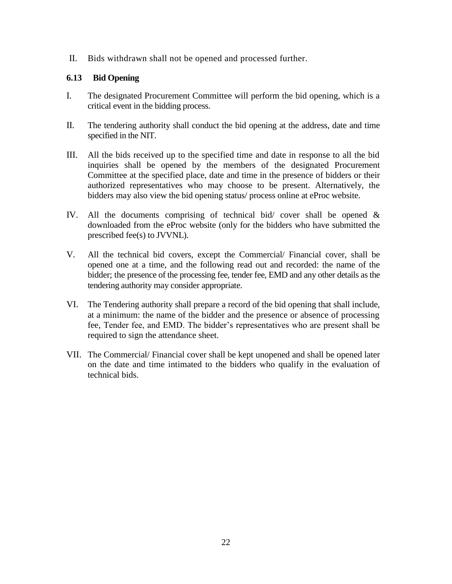II. Bids withdrawn shall not be opened and processed further.

#### **6.13 Bid Opening**

- I. The designated Procurement Committee will perform the bid opening, which is a critical event in the bidding process.
- II. The tendering authority shall conduct the bid opening at the address, date and time specified in the NIT.
- III. All the bids received up to the specified time and date in response to all the bid inquiries shall be opened by the members of the designated Procurement Committee at the specified place, date and time in the presence of bidders or their authorized representatives who may choose to be present. Alternatively, the bidders may also view the bid opening status/ process online at eProc website.
- IV. All the documents comprising of technical bid/ cover shall be opened & downloaded from the eProc website (only for the bidders who have submitted the prescribed fee(s) to JVVNL).
- V. All the technical bid covers, except the Commercial/ Financial cover, shall be opened one at a time, and the following read out and recorded: the name of the bidder; the presence of the processing fee, tender fee, EMD and any other details as the tendering authority may consider appropriate.
- VI. The Tendering authority shall prepare a record of the bid opening that shall include, at a minimum: the name of the bidder and the presence or absence of processing fee, Tender fee, and EMD. The bidder's representatives who are present shall be required to sign the attendance sheet.
- VII. The Commercial/ Financial cover shall be kept unopened and shall be opened later on the date and time intimated to the bidders who qualify in the evaluation of technical bids.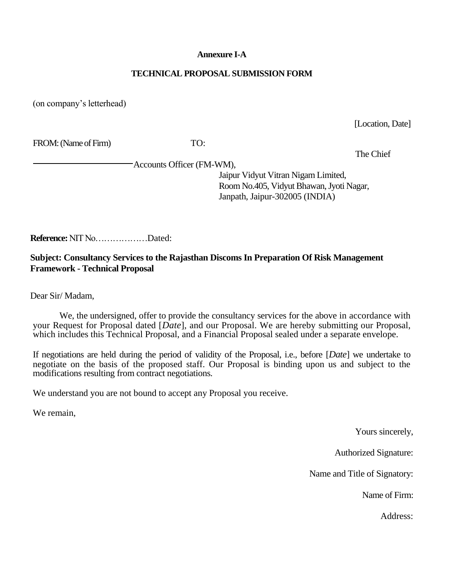#### **Annexure I-A**

#### **TECHNICAL PROPOSAL SUBMISSION FORM**

(on company's letterhead)

[Location, Date]

FROM: (Name of Firm) TO:

The Chief

Accounts Officer (FM-WM),

Jaipur Vidyut Vitran Nigam Limited, Room No.405, Vidyut Bhawan, Jyoti Nagar, Janpath, Jaipur-302005 (INDIA)

**Reference:** NIT No………………Dated:

### **Subject: Consultancy Services to the Rajasthan Discoms In Preparation Of Risk Management Framework - Technical Proposal**

Dear Sir/ Madam,

We, the undersigned, offer to provide the consultancy services for the above in accordance with your Request for Proposal dated [*Date*], and our Proposal. We are hereby submitting our Proposal, which includes this Technical Proposal, and a Financial Proposal sealed under a separate envelope.

If negotiations are held during the period of validity of the Proposal, i.e., before [*Date*] we undertake to negotiate on the basis of the proposed staff. Our Proposal is binding upon us and subject to the modifications resulting from contract negotiations.

We understand you are not bound to accept any Proposal you receive.

We remain,

Yours sincerely,

Authorized Signature:

Name and Title of Signatory:

Name of Firm: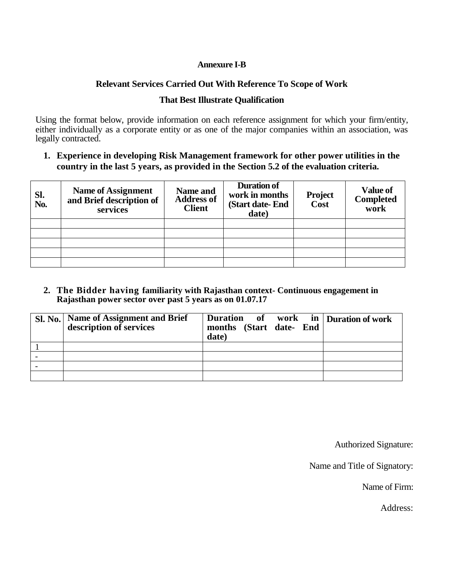#### **Annexure I-B**

### **Relevant Services Carried Out With Reference To Scope of Work**

### **That Best Illustrate Qualification**

Using the format below, provide information on each reference assignment for which your firm/entity, either individually as a corporate entity or as one of the major companies within an association, was legally contracted.

**1. Experience in developing Risk Management framework for other power utilities in the country in the last 5 years, as provided in the Section 5.2 of the evaluation criteria.**

| Sl.<br>No. | <b>Name of Assignment</b><br>and Brief description of<br>services | Name and<br><b>Address of</b><br><b>Client</b> | Duration of<br>work in months<br>(Start date-End)<br>date) | <b>Project</b><br>Cost | <b>Value of</b><br><b>Completed</b><br>work |
|------------|-------------------------------------------------------------------|------------------------------------------------|------------------------------------------------------------|------------------------|---------------------------------------------|
|            |                                                                   |                                                |                                                            |                        |                                             |
|            |                                                                   |                                                |                                                            |                        |                                             |
|            |                                                                   |                                                |                                                            |                        |                                             |
|            |                                                                   |                                                |                                                            |                        |                                             |
|            |                                                                   |                                                |                                                            |                        |                                             |

**2. The Bidder having familiarity with Rajasthan context- Continuous engagement in Rajasthan power sector over past 5 years as on 01.07.17**

| Sl. No. Name of Assignment and Brief<br>description of services | Duration of work in Duration of work<br>months (Start date- End<br>date) |  |
|-----------------------------------------------------------------|--------------------------------------------------------------------------|--|
|                                                                 |                                                                          |  |
|                                                                 |                                                                          |  |
|                                                                 |                                                                          |  |
|                                                                 |                                                                          |  |

Authorized Signature:

Name and Title of Signatory:

Name of Firm: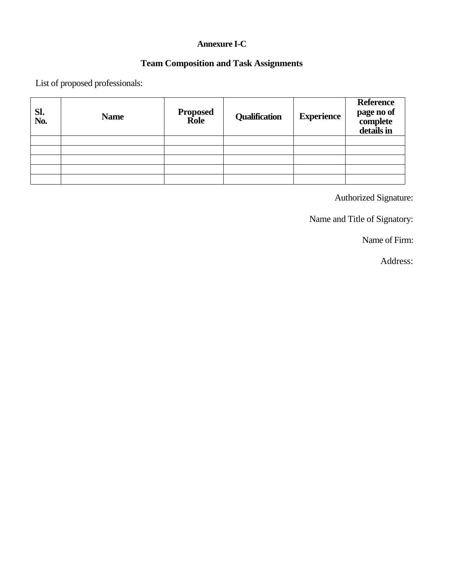## **Annexure I-C**

## **Team Composition and Task Assignments**

List of proposed professionals:

| Sl.<br>No. | <b>Name</b> | <b>Proposed</b><br>Role | <b>Qualification</b> | <b>Experience</b> | <b>Reference</b><br>page no of<br>complete<br>details in |
|------------|-------------|-------------------------|----------------------|-------------------|----------------------------------------------------------|
|            |             |                         |                      |                   |                                                          |
|            |             |                         |                      |                   |                                                          |
|            |             |                         |                      |                   |                                                          |
|            |             |                         |                      |                   |                                                          |
|            |             |                         |                      |                   |                                                          |

Authorized Signature:

Name and Title of Signatory:

Name of Firm: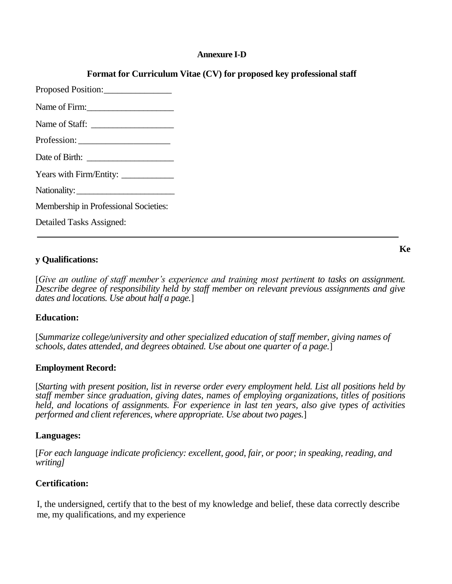#### **Annexure I-D**

### **Format for Curriculum Vitae (CV) for proposed key professional staff**

| Name of Firm:                         |
|---------------------------------------|
| Name of Staff:                        |
|                                       |
|                                       |
|                                       |
| Nationality:                          |
| Membership in Professional Societies: |
|                                       |

Detailed Tasks Assigned:

#### **y Qualifications:**

[*Give an outline of staff member's experience and training most pertinent to tasks on assignment. Describe degree of responsibility held by staff member on relevant previous assignments and give dates and locations. Use about half a page.*]

#### **Education:**

[*Summarize college/university and other specialized education of staff member, giving names of schools, dates attended, and degrees obtained. Use about one quarter of a page.*]

#### **Employment Record:**

[*Starting with present position, list in reverse order every employment held. List all positions held by staff member since graduation, giving dates, names of employing organizations, titles of positions held, and locations of assignments. For experience in last ten years, also give types of activities performed and client references, where appropriate. Use about two pages.*]

#### **Languages:**

[*For each language indicate proficiency: excellent, good, fair, or poor; in speaking, reading, and writing]*

#### **Certification:**

I, the undersigned, certify that to the best of my knowledge and belief, these data correctly describe me, my qualifications, and my experience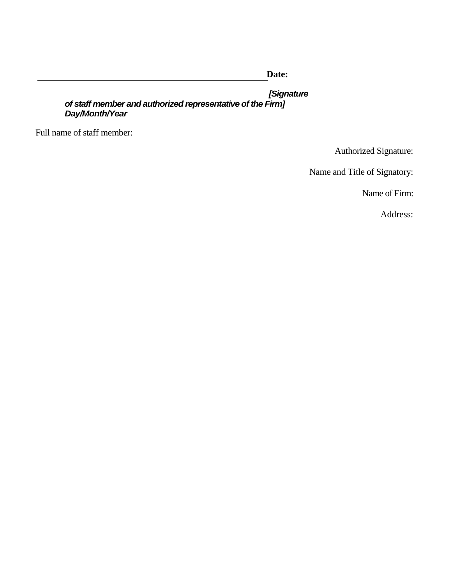**Date:**

*[Signature of staff member and authorized representative of the Firm] Day/Month/Year*

Full name of staff member:

Authorized Signature:

Name and Title of Signatory:

Name of Firm: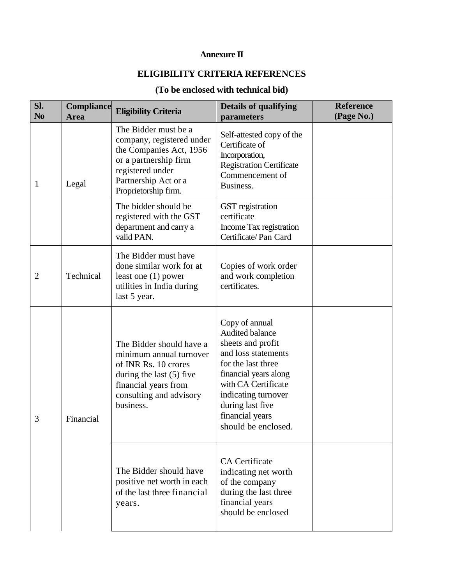## **Annexure II**

## **ELIGIBILITY CRITERIA REFERENCES**

## **(To be enclosed with technical bid)**

| Sl.<br>N <sub>0</sub> | Compliance<br><b>Area</b> | <b>Eligibility Criteria</b>                                                                                                                                               | <b>Details of qualifying</b><br>parameters                                                                                                                                                                                               | <b>Reference</b><br>(Page No.) |
|-----------------------|---------------------------|---------------------------------------------------------------------------------------------------------------------------------------------------------------------------|------------------------------------------------------------------------------------------------------------------------------------------------------------------------------------------------------------------------------------------|--------------------------------|
| $\mathbf{1}$          | Legal                     | The Bidder must be a<br>company, registered under<br>the Companies Act, 1956<br>or a partnership firm<br>registered under<br>Partnership Act or a<br>Proprietorship firm. | Self-attested copy of the<br>Certificate of<br>Incorporation,<br><b>Registration Certificate</b><br>Commencement of<br>Business.                                                                                                         |                                |
|                       |                           | The bidder should be<br>registered with the GST<br>department and carry a<br>valid PAN.                                                                                   | <b>GST</b> registration<br>certificate<br>Income Tax registration<br>Certificate/Pan Card                                                                                                                                                |                                |
| $\overline{2}$        | Technical                 | The Bidder must have<br>done similar work for at<br>least one $(1)$ power<br>utilities in India during<br>last 5 year.                                                    | Copies of work order<br>and work completion<br>certificates.                                                                                                                                                                             |                                |
| 3                     | Financial                 | The Bidder should have a<br>minimum annual turnover<br>of INR Rs. 10 crores<br>during the last $(5)$ five<br>financial years from<br>consulting and advisory<br>business. | Copy of annual<br>Audited balance<br>sheets and profit<br>and loss statements<br>for the last three<br>financial years along<br>with CA Certificate<br>indicating turnover<br>during last five<br>financial years<br>should be enclosed. |                                |
|                       |                           | The Bidder should have<br>positive net worth in each<br>of the last three financial<br>years.                                                                             | <b>CA</b> Certificate<br>indicating net worth<br>of the company<br>during the last three<br>financial years<br>should be enclosed                                                                                                        |                                |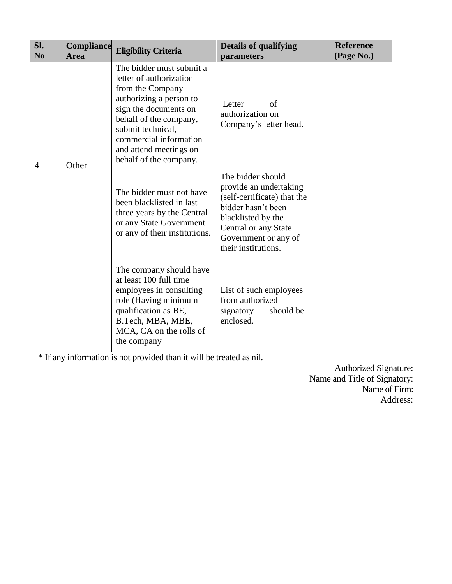| Sl.<br>N <sub>0</sub> | <b>Compliance</b><br><b>Area</b> | <b>Eligibility Criteria</b>                                                                                                                                                                                                                              | <b>Details of qualifying</b><br>parameters                                                                                                                                                    | <b>Reference</b><br>(Page No.) |
|-----------------------|----------------------------------|----------------------------------------------------------------------------------------------------------------------------------------------------------------------------------------------------------------------------------------------------------|-----------------------------------------------------------------------------------------------------------------------------------------------------------------------------------------------|--------------------------------|
| 4                     | Other                            | The bidder must submit a<br>letter of authorization<br>from the Company<br>authorizing a person to<br>sign the documents on<br>behalf of the company,<br>submit technical,<br>commercial information<br>and attend meetings on<br>behalf of the company. | Letter<br>of<br>authorization on<br>Company's letter head.                                                                                                                                    |                                |
|                       |                                  | The bidder must not have<br>been blacklisted in last<br>three years by the Central<br>or any State Government<br>or any of their institutions.                                                                                                           | The bidder should<br>provide an undertaking<br>(self-certificate) that the<br>bidder hasn't been<br>blacklisted by the<br>Central or any State<br>Government or any of<br>their institutions. |                                |
|                       |                                  | The company should have<br>at least 100 full time<br>employees in consulting<br>role (Having minimum<br>qualification as BE,<br>B.Tech, MBA, MBE,<br>MCA, CA on the rolls of<br>the company                                                              | List of such employees<br>from authorized<br>should be<br>signatory<br>enclosed.                                                                                                              |                                |

\* If any information is not provided than it will be treated as nil.

Authorized Signature: Name and Title of Signatory: Name of Firm: Address: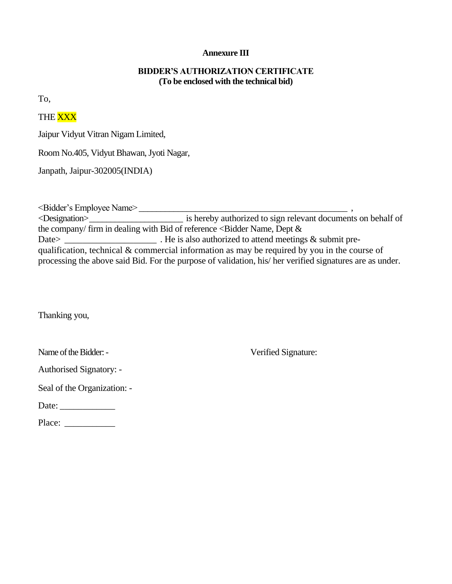#### **Annexure III**

#### **BIDDER'S AUTHORIZATION CERTIFICATE (To be enclosed with the technical bid)**

To,

## THE XXX

Jaipur Vidyut Vitran Nigam Limited,

Room No.405, Vidyut Bhawan, Jyoti Nagar,

Janpath, Jaipur-302005(INDIA)

<Bidder's Employee Name> \_\_\_\_\_\_\_\_\_\_\_\_\_\_\_\_\_\_\_\_\_\_\_\_\_\_\_\_\_\_\_\_\_\_\_\_\_\_\_\_\_\_\_\_\_\_\_\_ ,

<Designation>\_\_\_\_\_\_\_\_\_\_\_\_\_\_\_\_\_\_\_\_\_\_ is hereby authorized to sign relevant documents on behalf of the company/ firm in dealing with Bid of reference  $\lt$  Bidder Name, Dept  $\&$ Date> **Date>** . He is also authorized to attend meetings  $\&$  submit prequalification, technical & commercial information as may be required by you in the course of processing the above said Bid. For the purpose of validation, his/ her verified signatures are as under.

Thanking you,

Name of the Bidder: - Verified Signature:

Authorised Signatory: -

Seal of the Organization: -

Date: \_\_\_\_\_\_\_\_\_\_\_\_

Place: \_\_\_\_\_\_\_\_\_\_\_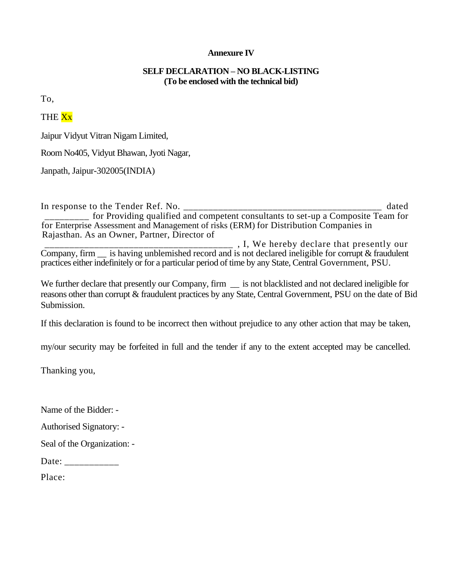#### **Annexure IV**

#### **SELF DECLARATION – NO BLACK-LISTING (To be enclosed with the technical bid)**

To,

### THE Xx

Jaipur Vidyut Vitran Nigam Limited,

Room No405, Vidyut Bhawan, Jyoti Nagar,

Janpath, Jaipur-302005(INDIA)

In response to the Tender Ref. No. \_\_\_\_\_\_\_\_\_\_\_\_\_\_\_\_\_\_\_\_\_\_\_\_\_\_\_\_\_\_\_\_\_\_\_\_\_\_\_\_ dated \_\_\_\_\_\_\_\_\_ for Providing qualified and competent consultants to set-up a Composite Team for for Enterprise Assessment and Management of risks (ERM) for Distribution Companies in Rajasthan. As an Owner, Partner, Director of \_\_\_\_\_\_\_\_\_\_\_\_\_\_\_\_\_\_\_\_\_\_\_\_\_\_\_\_\_\_\_\_\_\_\_\_\_\_ , I, We hereby declare that presently our

Company, firm \_\_ is having unblemished record and is not declared ineligible for corrupt & fraudulent practices either indefinitely or for a particular period of time by any State, Central Government, PSU.

We further declare that presently our Company, firm  $\equiv$  is not blacklisted and not declared ineligible for reasons other than corrupt & fraudulent practices by any State, Central Government, PSU on the date of Bid Submission.

If this declaration is found to be incorrect then without prejudice to any other action that may be taken,

my/our security may be forfeited in full and the tender if any to the extent accepted may be cancelled.

Thanking you,

Name of the Bidder: -

Authorised Signatory: -

Seal of the Organization: -

Date: \_\_\_\_\_\_\_\_\_\_\_\_\_

Place: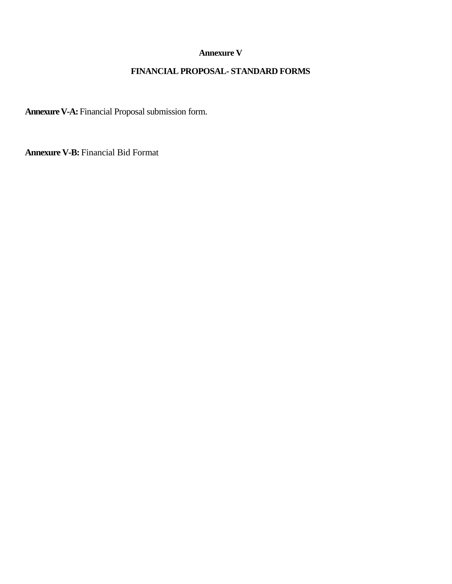#### **Annexure V**

## **FINANCIAL PROPOSAL- STANDARD FORMS**

**Annexure V-A:** Financial Proposal submission form.

**Annexure V-B:** Financial Bid Format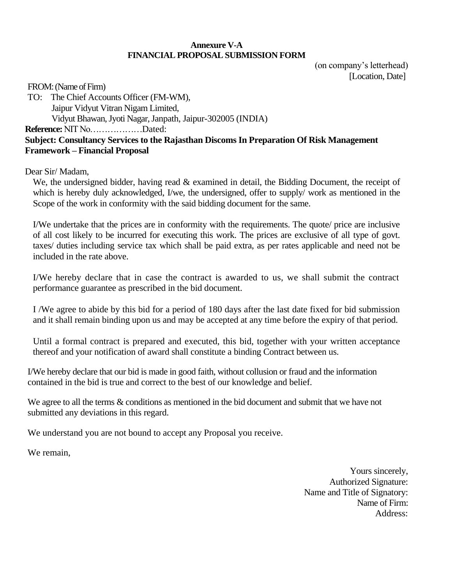#### **Annexure V-A FINANCIAL PROPOSAL SUBMISSION FORM**

(on company's letterhead) [Location, Date]

FROM: (Name of Firm)

TO: The Chief Accounts Officer (FM-WM), Jaipur Vidyut Vitran Nigam Limited, Vidyut Bhawan, Jyoti Nagar, Janpath, Jaipur-302005 (INDIA) **Reference:** NIT No………………Dated: **Subject: Consultancy Services to the Rajasthan Discoms In Preparation Of Risk Management Framework – Financial Proposal**

Dear Sir/ Madam,

We, the undersigned bidder, having read & examined in detail, the Bidding Document, the receipt of which is hereby duly acknowledged, I/we, the undersigned, offer to supply/ work as mentioned in the Scope of the work in conformity with the said bidding document for the same.

I/We undertake that the prices are in conformity with the requirements. The quote/ price are inclusive of all cost likely to be incurred for executing this work. The prices are exclusive of all type of govt. taxes/ duties including service tax which shall be paid extra, as per rates applicable and need not be included in the rate above.

I/We hereby declare that in case the contract is awarded to us, we shall submit the contract performance guarantee as prescribed in the bid document.

I /We agree to abide by this bid for a period of 180 days after the last date fixed for bid submission and it shall remain binding upon us and may be accepted at any time before the expiry of that period.

Until a formal contract is prepared and executed, this bid, together with your written acceptance thereof and your notification of award shall constitute a binding Contract between us.

I/We hereby declare that our bid is made in good faith, without collusion or fraud and the information contained in the bid is true and correct to the best of our knowledge and belief.

We agree to all the terms  $\&$  conditions as mentioned in the bid document and submit that we have not submitted any deviations in this regard.

We understand you are not bound to accept any Proposal you receive.

We remain,

Yours sincerely, Authorized Signature: Name and Title of Signatory: Name of Firm: Address: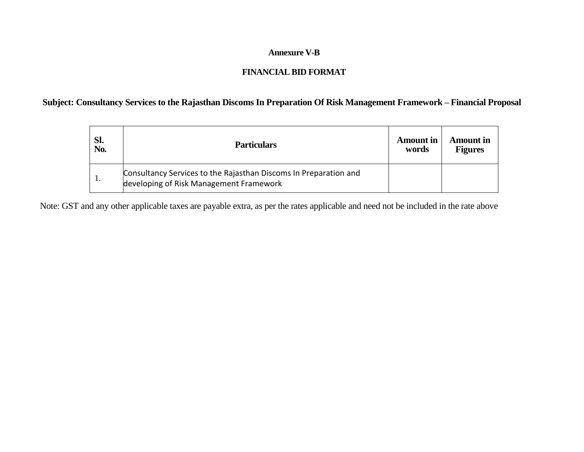#### **Annexure V-B**

## **FINANCIAL BID FORMAT**

## **Subject: Consultancy Services to the Rajasthan Discoms In Preparation Of Risk Management Framework – Financial Proposal**

| Sl.<br>No. | <b>Particulars</b>                                                                                          | <b>Amount in</b><br>words | Amount in<br><b>Figures</b> |
|------------|-------------------------------------------------------------------------------------------------------------|---------------------------|-----------------------------|
| . .        | Consultancy Services to the Rajasthan Discoms In Preparation and<br>developing of Risk Management Framework |                           |                             |

Note: GST and any other applicable taxes are payable extra, as per the rates applicable and need not be included in the rate above